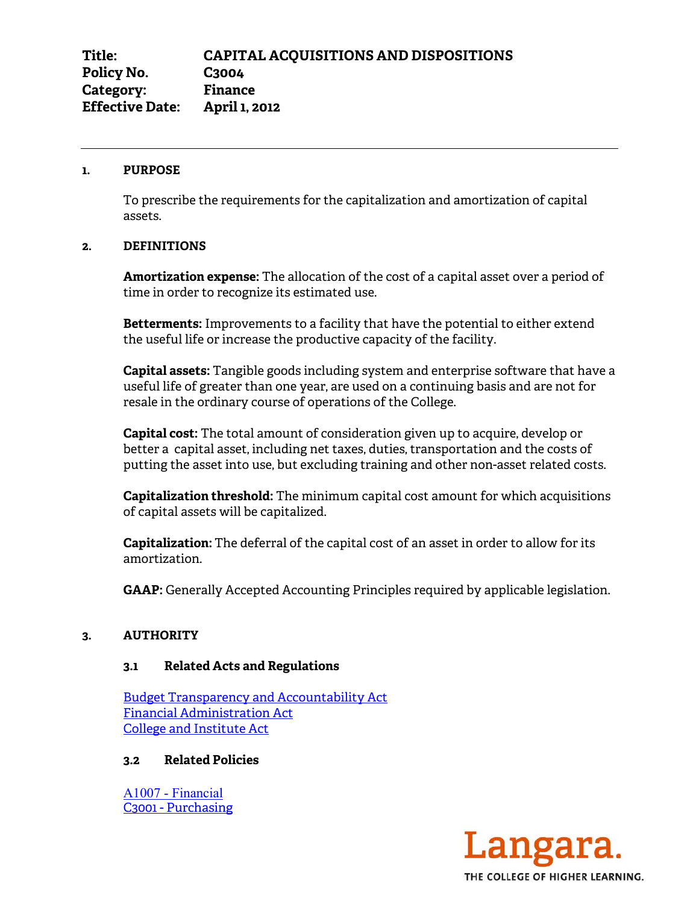#### **1. PURPOSE**

 To prescribe the requirements for the capitalization and amortization of capital assets.

## **2. DEFINITIONS**

**Amortization expense:** The allocation of the cost of a capital asset over a period of time in order to recognize its estimated use.

**Betterments:** Improvements to a facility that have the potential to either extend the useful life or increase the productive capacity of the facility.

**Capital assets:** Tangible goods including system and enterprise software that have a useful life of greater than one year, are used on a continuing basis and are not for resale in the ordinary course of operations of the College.

**Capital cost:** The total amount of consideration given up to acquire, develop or better a capital asset, including net taxes, duties, transportation and the costs of putting the asset into use, but excluding training and other non-asset related costs.

**Capitalization threshold:** The minimum capital cost amount for which acquisitions of capital assets will be capitalized.

**Capitalization:** The deferral of the capital cost of an asset in order to allow for its amortization.

**GAAP:** Generally Accepted Accounting Principles required by applicable legislation.

## **3. AUTHORITY**

## **3.1 Related Acts and Regulations**

Budget Transparency and Accountability Act Financial Administration Act College and Institute Act

# **3.2 Related Policies**

A1007 - Financial C3001 - Purchasing

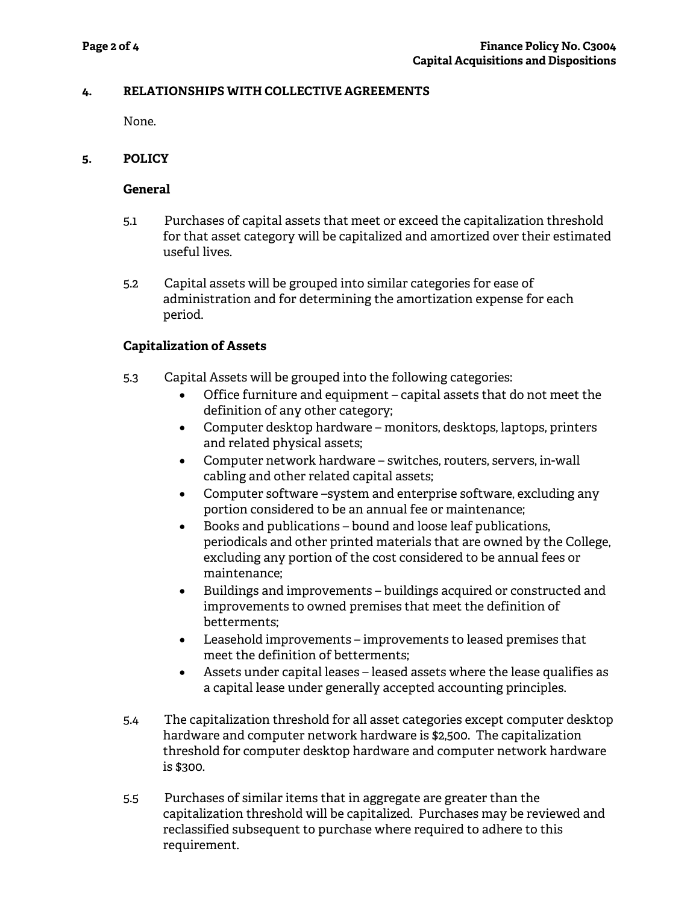# **4. RELATIONSHIPS WITH COLLECTIVE AGREEMENTS**

None.

# **5. POLICY**

# **General**

- 5.1 Purchases of capital assets that meet or exceed the capitalization threshold for that asset category will be capitalized and amortized over their estimated useful lives.
- 5.2 Capital assets will be grouped into similar categories for ease of administration and for determining the amortization expense for each period.

# **Capitalization of Assets**

- 5.3 Capital Assets will be grouped into the following categories:
	- Office furniture and equipment capital assets that do not meet the definition of any other category;
	- Computer desktop hardware monitors, desktops, laptops, printers and related physical assets;
	- Computer network hardware switches, routers, servers, in-wall cabling and other related capital assets;
	- Computer software –system and enterprise software, excluding any portion considered to be an annual fee or maintenance;
	- $\bullet$  Books and publications bound and loose leaf publications, periodicals and other printed materials that are owned by the College, excluding any portion of the cost considered to be annual fees or maintenance;
	- x Buildings and improvements buildings acquired or constructed and improvements to owned premises that meet the definition of betterments;
	- $\bullet$  Leasehold improvements improvements to leased premises that meet the definition of betterments;
	- Assets under capital leases leased assets where the lease qualifies as a capital lease under generally accepted accounting principles.
- 5.4 The capitalization threshold for all asset categories except computer desktop hardware and computer network hardware is \$2,500. The capitalization threshold for computer desktop hardware and computer network hardware is \$300.
- 5.5 Purchases of similar items that in aggregate are greater than the capitalization threshold will be capitalized. Purchases may be reviewed and reclassified subsequent to purchase where required to adhere to this requirement.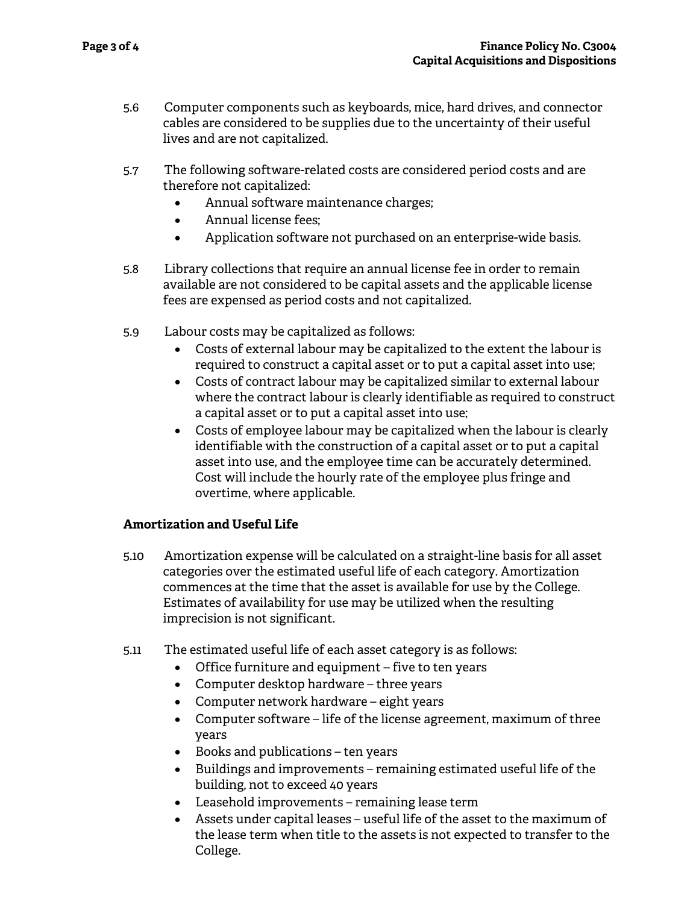- 5.6 Computer components such as keyboards, mice, hard drives, and connector cables are considered to be supplies due to the uncertainty of their useful lives and are not capitalized.
- 5.7 The following software-related costs are considered period costs and are therefore not capitalized:
	- Annual software maintenance charges;
	- Annual license fees:
	- Application software not purchased on an enterprise-wide basis.
- 5.8 Library collections that require an annual license fee in order to remain available are not considered to be capital assets and the applicable license fees are expensed as period costs and not capitalized.
- 5.9 Labour costs may be capitalized as follows:
	- Costs of external labour may be capitalized to the extent the labour is required to construct a capital asset or to put a capital asset into use;
	- Costs of contract labour may be capitalized similar to external labour where the contract labour is clearly identifiable as required to construct a capital asset or to put a capital asset into use;
	- Costs of employee labour may be capitalized when the labour is clearly identifiable with the construction of a capital asset or to put a capital asset into use, and the employee time can be accurately determined. Cost will include the hourly rate of the employee plus fringe and overtime, where applicable.

# **Amortization and Useful Life**

- 5.10 Amortization expense will be calculated on a straight-line basis for all asset categories over the estimated useful life of each category. Amortization commences at the time that the asset is available for use by the College. Estimates of availability for use may be utilized when the resulting imprecision is not significant.
- 5.11 The estimated useful life of each asset category is as follows:
	- $\bullet$  Office furniture and equipment five to ten years
	- Computer desktop hardware three years
	- Computer network hardware eight years
	- $\bullet$  Computer software life of the license agreement, maximum of three years
	- $\bullet$  Books and publications ten years
	- Buildings and improvements remaining estimated useful life of the building, not to exceed 40 years
	- Leasehold improvements remaining lease term
	- $\bullet$  Assets under capital leases useful life of the asset to the maximum of the lease term when title to the assets is not expected to transfer to the College.